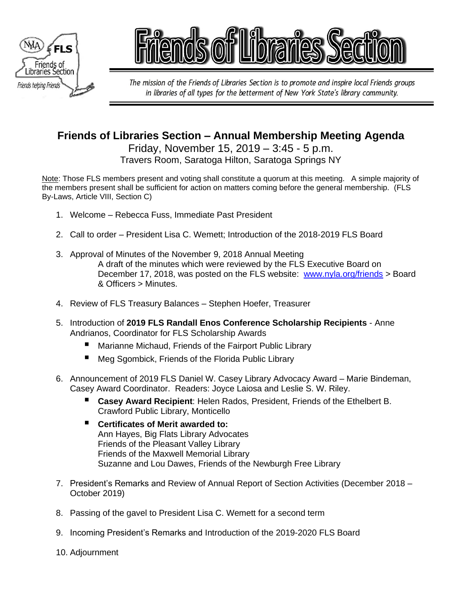



The mission of the Friends of Libraries Section is to promote and inspire local Friends groups in libraries of all types for the betterment of New York State's library community.

# **Friends of Libraries Section – Annual Membership Meeting Agenda**

Friday, November 15, 2019 – 3:45 - 5 p.m. Travers Room, Saratoga Hilton, Saratoga Springs NY

Note: Those FLS members present and voting shall constitute a quorum at this meeting. A simple majority of the members present shall be sufficient for action on matters coming before the general membership. (FLS By-Laws, Article VIII, Section C)

- 1. Welcome Rebecca Fuss, Immediate Past President
- 2. Call to order President Lisa C. Wemett; Introduction of the 2018-2019 FLS Board
- 3. Approval of Minutes of the November 9, 2018 Annual Meeting A draft of the minutes which were reviewed by the FLS Executive Board on December 17, 2018, was posted on the FLS website: [www.nyla.org/friends](http://www.nyla.org/friends) > Board & Officers > Minutes.
- 4. Review of FLS Treasury Balances Stephen Hoefer, Treasurer
- 5. Introduction of **2019 FLS Randall Enos Conference Scholarship Recipients** Anne Andrianos, Coordinator for FLS Scholarship Awards
	- Marianne Michaud, Friends of the Fairport Public Library
	- Meg Sgombick, Friends of the Florida Public Library
- 6. Announcement of 2019 FLS Daniel W. Casey Library Advocacy Award Marie Bindeman, Casey Award Coordinator. Readers: Joyce Laiosa and Leslie S. W. Riley.
	- **Casey Award Recipient: Helen Rados, President, Friends of the Ethelbert B.** Crawford Public Library, Monticello
	- **Certificates of Merit awarded to:** Ann Hayes, Big Flats Library Advocates Friends of the Pleasant Valley Library Friends of the Maxwell Memorial Library Suzanne and Lou Dawes, Friends of the Newburgh Free Library
- 7. President's Remarks and Review of Annual Report of Section Activities (December 2018 October 2019)
- 8. Passing of the gavel to President Lisa C. Wemett for a second term
- 9. Incoming President's Remarks and Introduction of the 2019-2020 FLS Board
- 10. Adjournment